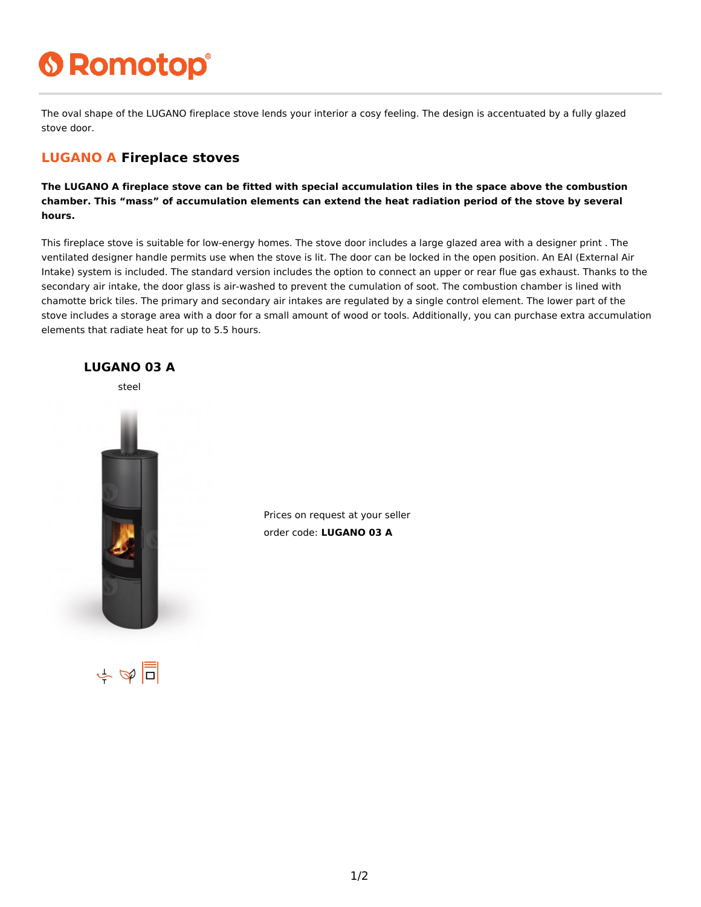# **6 Romotop®**

The oval shape of the LUGANO fireplace stove lends your interior a cosy feeling. The design is accentuated by a fully glazed stove door.

#### **LUGANO A Fireplace stoves**

**The LUGANO A fireplace stove can be fitted with special accumulation tiles in the space above the combustion chamber. This "mass" of accumulation elements can extend the heat radiation period of the stove by several hours.**

This fireplace stove is suitable for low-energy homes. The stove door includes a large glazed area with a designer print . The ventilated designer handle permits use when the stove is lit. The door can be locked in the open position. An EAI (External Air Intake) system is included. The standard version includes the option to connect an upper or rear flue gas exhaust. Thanks to the secondary air intake, the door glass is air-washed to prevent the cumulation of soot. The combustion chamber is lined with chamotte brick tiles. The primary and secondary air intakes are regulated by a single control element. The lower part of the stove includes a storage area with a door for a small amount of wood or tools. Additionally, you can purchase extra accumulation elements that radiate heat for up to 5.5 hours.



Prices on request at your seller order code: **LUGANO 03 A**